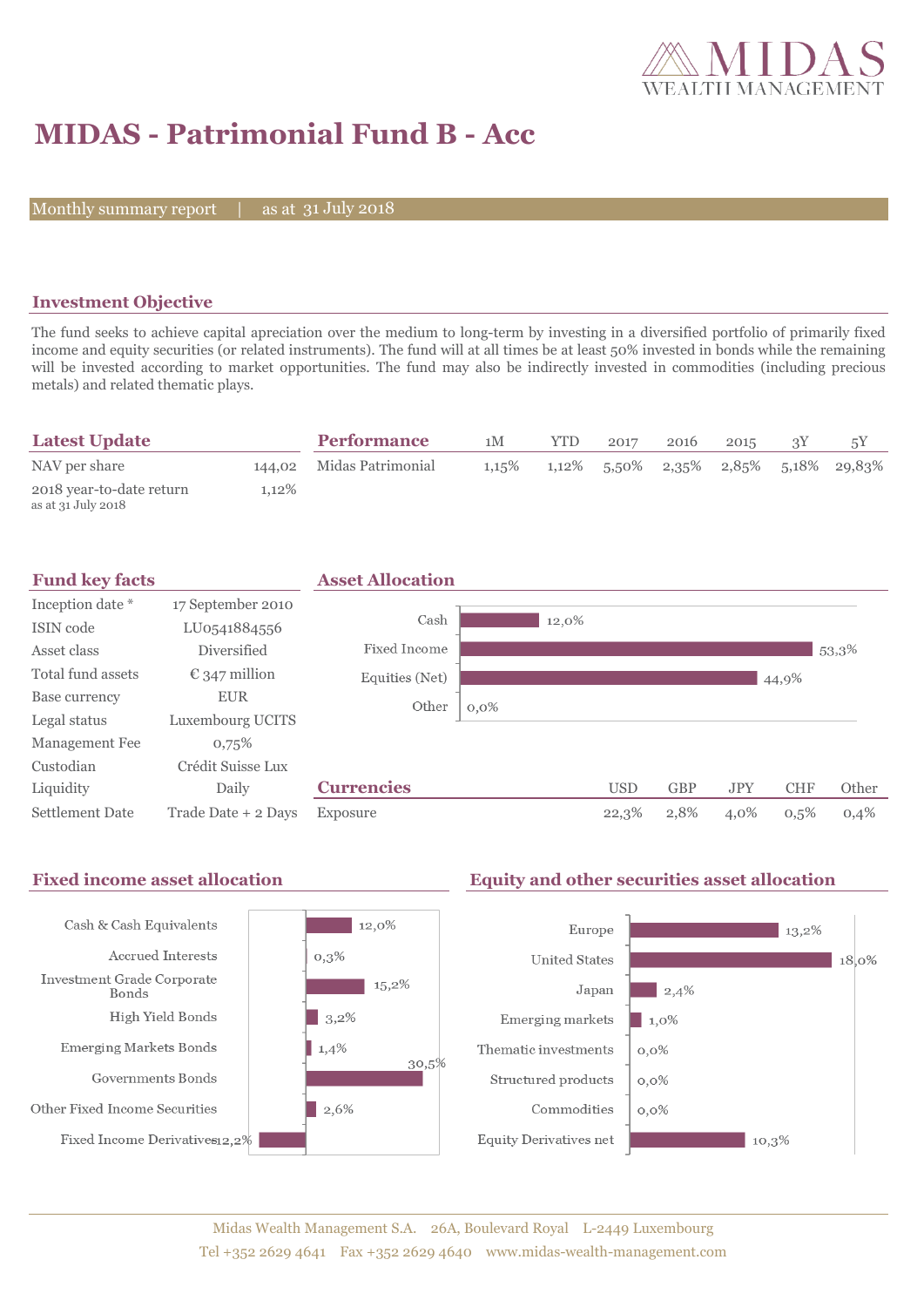

# **MIDAS - Patrimonial Fund B - Acc**

Monthly summary report

31 July 2018

## **Investment Objective**

The fund seeks to achieve capital apreciation over the medium to long-term by investing in a diversified portfolio of primarily fixed income and equity securities (or related instruments). The fund will at all times be at least 50% invested in bonds while the remaining will be invested according to market opportunities. The fund may also be indirectly invested in commodities (including precious metals) and related thematic plays.

| <b>Latest Update</b>                           |          | <b>Performance</b>       | 1M       | YTD | 2017 | 2016 | 2015 |                                         |
|------------------------------------------------|----------|--------------------------|----------|-----|------|------|------|-----------------------------------------|
| NAV per share                                  |          | 144,02 Midas Patrimonial | $1.15\%$ |     |      |      |      | $1,12\%$ 5,50% 2,35% 2,85% 5,18% 29,83% |
| 2018 year-to-date return<br>as at 31 July 2018 | $1.12\%$ |                          |          |     |      |      |      |                                         |



#### Fixed income asset allocation **Equity and other securities asset allocation** Cash & Cash Equivalents  $12,0\%$ Europe  $\blacksquare$  13,2% Accrued Interests  $0,3%$ **United States** 18,0% Investment Grade Corporate  $15,2\%$ Japan  $\vert$  2,4% **Bonds** High Yield Bonds  $|3,2%$ Emerging markets  $\blacksquare$  1,0% **Emerging Markets Bonds**  $1,4%$ Thematic investments  $0,0\%$ 30,5% Governments Bonds Structured products  $0,0\%$ Other Fixed Income Securities 2,6% Commodities  $0,0\%$ Fixed Income Derivatives12,2% **Equity Derivatives net**  $10,3%$

### Midas Wealth Management S.A. 26A, Boulevard Royal L-2449 Luxembourg Tel +352 2629 4641 Fax +352 2629 4640 www.midas-wealth-management.com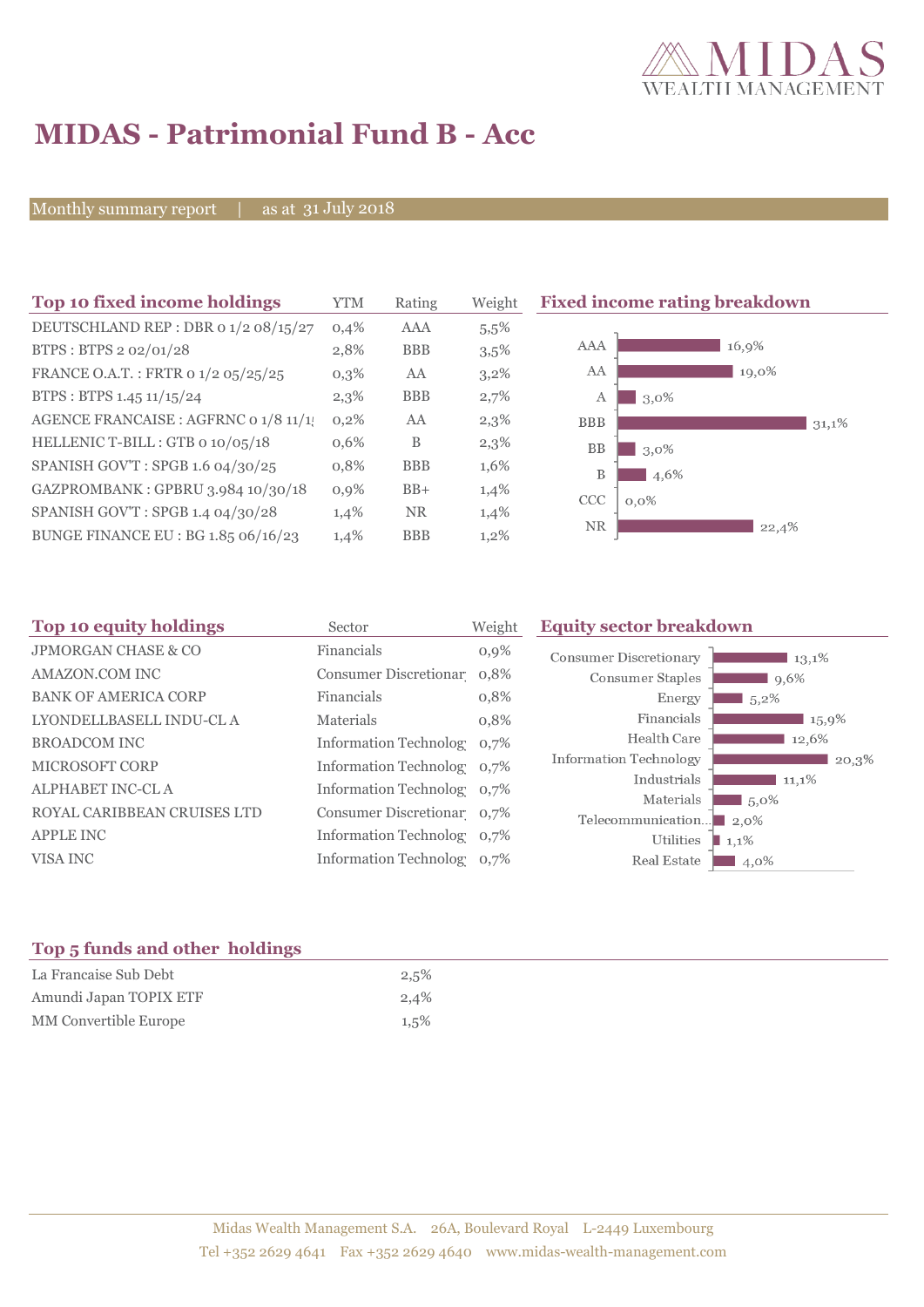

# **MIDAS - Patrimonial Fund B - Acc**

Monthly summary report | as at 31 July 2018

| Top 10 fixed income holdings          | YTM     | Rating     | Weight  | <b>Fixed income</b>   |
|---------------------------------------|---------|------------|---------|-----------------------|
| DEUTSCHLAND REP : DBR 0 1/2 08/15/27  | 0,4%    | <b>AAA</b> | 5,5%    |                       |
| BTPS: BTPS 2 02/01/28                 | 2,8%    | <b>BBB</b> | 3,5%    | AAA                   |
| FRANCE O.A.T.: FRTR 0 1/2 05/25/25    | $0,3\%$ | AA         | $3,2\%$ | AA                    |
| BTPS: BTPS 1.45 11/15/24              | 2,3%    | <b>BBB</b> | 2,7%    | А<br>3,               |
| AGENCE FRANCAISE : AGFRNC 0 1/8 11/1! | 0,2%    | AA         | 2,3%    | <b>BBB</b>            |
| HELLENIC T-BILL: GTB 0 10/05/18       | 0,6%    | B          | 2,3%    | <b>BB</b><br>3,       |
| SPANISH GOV'T: SPGB 1.6 04/30/25      | 0,8%    | <b>BBB</b> | 1,6%    | B                     |
| GAZPROMBANK: GPBRU 3.984 10/30/18     | 0.9%    | $BB+$      | 1,4%    | <b>CCC</b><br>$0,0\%$ |
| SPANISH GOV'T: SPGB 1.4 04/30/28      | 1,4%    | <b>NR</b>  | 1,4%    |                       |
| BUNGE FINANCE EU : BG 1.85 06/16/23   | 1,4%    | <b>BBB</b> | 1,2%    | NR                    |
|                                       |         |            |         |                       |

**Trating breakdown**  $16,9\%$  $\frac{1}{19,0\%}$ ,0%  $31,1%$ ,0% 4,6%  $22,4%$ 

| Top 10 equity holdings         | Sector                     | Weight  | <b>Equity sector breakdown</b> |                     |
|--------------------------------|----------------------------|---------|--------------------------------|---------------------|
| <b>JPMORGAN CHASE &amp; CO</b> | Financials                 | $0,9\%$ | <b>Consumer Discretionary</b>  | 13,1%               |
| AMAZON.COM INC                 | Consumer Discretionar 0,8% |         | <b>Consumer Staples</b>        | $9,6\%$             |
| <b>BANK OF AMERICA CORP</b>    | Financials                 | 0,8%    | Energy                         | $5,2\%$             |
| LYONDELLBASELL INDU-CL A       | Materials                  | 0,8%    | Financials                     | 15,9%               |
| <b>BROADCOM INC</b>            | Information Technolog 0,7% |         | Health Care                    | 12,6%               |
| <b>MICROSOFT CORP</b>          | Information Technolog 0,7% |         | Information Technology         | 20,3%               |
| <b>ALPHABET INC-CLA</b>        | Information Technolog 0,7% |         | Industrials                    | 11,1%               |
|                                |                            |         | Materials                      | $15,0\%$            |
| ROYAL CARIBBEAN CRUISES LTD    | Consumer Discretionar 0.7% |         | Telecommunication              | $\blacksquare$ 2.0% |
| <b>APPLE INC</b>               | Information Technolog 0,7% |         | Utilities                      | 1,1%                |
| VISA INC                       | Information Technolog 0,7% |         | Real Estate                    | 4,0%                |
|                                |                            |         |                                |                     |

# **Top 5 funds and other holdings**

| La Francaise Sub Debt  | 2,5%    |
|------------------------|---------|
| Amundi Japan TOPIX ETF | 2,4%    |
| MM Convertible Europe  | $1,5\%$ |